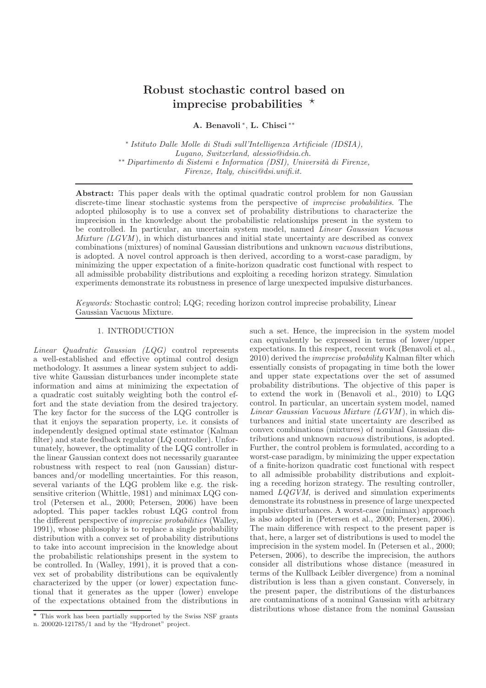# Robust stochastic control based on imprecise probabilities  $\star$

A. Benavoli <sup>∗</sup> , L. Chisci ∗∗

∗ *Istituto Dalle Molle di Studi sull'Intelligenza Artificiale (IDSIA), Lugano, Switzerland, alessio@idsia.ch.* ∗∗ *Dipartimento di Sistemi e Informatica (DSI), Universit`a di Firenze, Firenze, Italy, chisci@dsi.unifi.it.*

Abstract: This paper deals with the optimal quadratic control problem for non Gaussian discrete-time linear stochastic systems from the perspective of *imprecise probabilities*. The adopted philosophy is to use a convex set of probability distributions to characterize the imprecision in the knowledge about the probabilistic relationships present in the system to be controlled. In particular, an uncertain system model, named *Linear Gaussian Vacuous Mixture (LGVM)*, in which disturbances and initial state uncertainty are described as convex combinations (mixtures) of nominal Gaussian distributions and unknown *vacuous* distributions, is adopted. A novel control approach is then derived, according to a worst-case paradigm, by minimizing the upper expectation of a finite-horizon quadratic cost functional with respect to all admissible probability distributions and exploiting a receding horizon strategy. Simulation experiments demonstrate its robustness in presence of large unexpected impulsive disturbances.

*Keywords:* Stochastic control; LQG; receding horizon control imprecise probability, Linear Gaussian Vacuous Mixture.

## 1. INTRODUCTION

*Linear Quadratic Gaussian (LQG)* control represents a well-established and effective optimal control design methodology. It assumes a linear system subject to additive white Gaussian disturbances under incomplete state information and aims at minimizing the expectation of a quadratic cost suitably weighting both the control effort and the state deviation from the desired trajectory. The key factor for the success of the LQG controller is that it enjoys the separation property, i.e. it consists of independently designed optimal state estimator (Kalman filter) and state feedback regulator (LQ controller). Unfortunately, however, the optimality of the LQG controller in the linear Gaussian context does not necessarily guarantee robustness with respect to real (non Gaussian) disturbances and/or modelling uncertainties. For this reason, several variants of the LQG problem like e.g. the risksensitive criterion (Whittle, 1981) and minimax LQG control (Petersen et al., 2000; Petersen, 2006) have been adopted. This paper tackles robust LQG control from the different perspective of *imprecise probabilities* (Walley, 1991), whose philosophy is to replace a single probability distribution with a convex set of probability distributions to take into account imprecision in the knowledge about the probabilistic relationships present in the system to be controlled. In (Walley, 1991), it is proved that a convex set of probability distributions can be equivalently characterized by the upper (or lower) expectation functional that it generates as the upper (lower) envelope of the expectations obtained from the distributions in such a set. Hence, the imprecision in the system model can equivalently be expressed in terms of lower/upper expectations. In this respect, recent work (Benavoli et al., 2010) derived the *imprecise probability* Kalman filter which essentially consists of propagating in time both the lower and upper state expectations over the set of assumed probability distributions. The objective of this paper is to extend the work in (Benavoli et al., 2010) to LQG control. In particular, an uncertain system model, named *Linear Gaussian Vacuous Mixture (LGVM* ), in which disturbances and initial state uncertainty are described as convex combinations (mixtures) of nominal Gaussian distributions and unknown *vacuous* distributions, is adopted. Further, the control problem is formulated, according to a worst-case paradigm, by minimizing the upper expectation of a finite-horizon quadratic cost functional with respect to all admissible probability distributions and exploiting a receding horizon strategy. The resulting controller, named *LQGVM*, is derived and simulation experiments demonstrate its robustness in presence of large unexpected impulsive disturbances. A worst-case (minimax) approach is also adopted in (Petersen et al., 2000; Petersen, 2006). The main difference with respect to the present paper is that, here, a larger set of distributions is used to model the imprecision in the system model. In (Petersen et al., 2000; Petersen, 2006), to describe the imprecision, the authors consider all distributions whose distance (measured in terms of the Kullback Leibler divergence) from a nominal distribution is less than a given constant. Conversely, in the present paper, the distributions of the disturbances are contaminations of a nominal Gaussian with arbitrary distributions whose distance from the nominal Gaussian

 $\star$  This work has been partially supported by the Swiss NSF grants n. 200020-121785/1 and by the "Hydronet" project.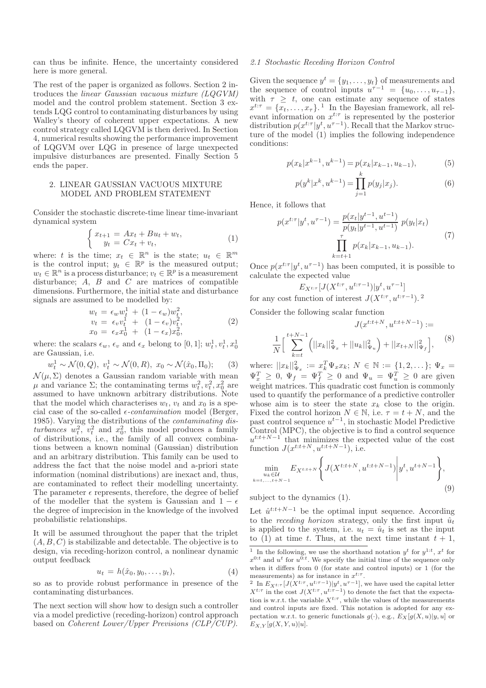can thus be infinite. Hence, the uncertainty considered here is more general.

The rest of the paper is organized as follows. Section 2 introduces the *linear Gaussian vacuous mixture (LQGVM)* model and the control problem statement. Section 3 extends LQG control to contaminating disturbances by using Walley's theory of coherent upper expectations. A new control strategy called LQGVM is then derived. In Section 4, numerical results showing the performance improvement of LQGVM over LQG in presence of large unexpected impulsive disturbances are presented. Finally Section 5 ends the paper.

### 2. LINEAR GAUSSIAN VACUOUS MIXTURE MODEL AND PROBLEM STATEMENT

Consider the stochastic discrete-time linear time-invariant dynamical system

$$
\begin{cases}\nx_{t+1} = Ax_t + Bu_t + w_t, \\
y_t = Cx_t + v_t,\n\end{cases} \tag{1}
$$

where: t is the time;  $x_t \in \mathbb{R}^n$  is the state;  $u_t \in \mathbb{R}^m$ is the control input;  $y_t \in \mathbb{R}^p$  is the measured output;  $w_t \in \mathbb{R}^n$  is a process disturbance;  $v_t \in \mathbb{R}^p$  is a measurement disturbance;  $A$ ,  $B$  and  $C$  are matrices of compatible dimensions. Furthermore, the initial state and disturbance signals are assumed to be modelled by:

$$
w_t = \epsilon_w w_t^1 + (1 - \epsilon_w) w_t^2, \n v_t = \epsilon_v v_t^1 + (1 - \epsilon_v) v_t^2, \n x_0 = \epsilon_x x_0^1 + (1 - \epsilon_x) x_0^2,
$$
\n(2)

where: the scalars  $\epsilon_w$ ,  $\epsilon_v$  and  $\epsilon_x$  belong to [0, 1];  $w_t^1, v_t^1, x_0^1$ are Gaussian, i.e.

$$
w_t^1 \sim \mathcal{N}(0, Q), v_t^1 \sim \mathcal{N}(0, R), x_0 \sim \mathcal{N}(\hat{x}_0, \Pi_0);
$$
 (3)

 $\mathcal{N}(\mu, \Sigma)$  denotes a Gaussian random variable with mean μ and variance Σ; the contaminating terms  $w_t^2, v_t^2, x_0^2$  are assumed to have unknown arbitrary distributions. Note that the model which characterises  $w_t$ ,  $v_t$  and  $x_0$  is a special case of the so-called  $\epsilon$ -*contamination* model (Berger, 1985). Varying the distributions of the *contaminating dis*turbances  $w_t^2$ ,  $v_t^2$  and  $x_0^2$ , this model produces a family of distributions, i.e., the family of all convex combinations between a known nominal (Gaussian) distribution and an arbitrary distribution. This family can be used to address the fact that the noise model and a-priori state information (nominal distributions) are inexact and, thus, are contaminated to reflect their modelling uncertainty. The parameter  $\epsilon$  represents, therefore, the degree of belief of the modeller that the system is Gaussian and  $1 - \epsilon$ the degree of imprecision in the knowledge of the involved probabilistic relationships.

It will be assumed throughout the paper that the triplet  $(A, B, C)$  is stabilizable and detectable. The objective is to design, via receding-horizon control, a nonlinear dynamic output feedback

$$
u_t = h(\hat{x}_0, y_0, \dots, y_t), \tag{4}
$$

so as to provide robust performance in presence of the contaminating disturbances.

The next section will show how to design such a controller via a model predictive (receding-horizon) control approach based on *Coherent Lower/Upper Previsions (CLP/CUP)*.

# *2.1 Stochastic Receding Horizon Control*

Given the sequence  $y^t = \{y_1, \ldots, y_t\}$  of measurements and the sequence of control inputs  $u^{\tau-1} = \{u_0, \ldots, u_{\tau-1}\},\$ with  $\tau \geq t$ , one can estimate any sequence of states  $x^{t:\tau} = \{x_t, \ldots, x_{\tau}\}.$ <sup>1</sup> In the Bayesian framework, all relevant information on  $x^{t:\tau}$  is represented by the posterior distribution  $p(x^{t:\tau}|y^t, u^{\tau-1})$ . Recall that the Markov structure of the model (1) implies the following independence conditions:

$$
p(x_k|x^{k-1}, u^{k-1}) = p(x_k|x_{k-1}, u_{k-1}),
$$
\n(5)

$$
p(y^k | x^k, u^{k-1}) = \prod_{j=1}^k p(y_j | x_j).
$$
 (6)

Hence, it follows that

$$
p(x^{t:\tau}|y^t, u^{\tau-1}) = \frac{p(x_t|y^{t-1}, u^{t-1})}{p(y_t|y^{t-1}, u^{t-1})} p(y_t|x_t)
$$
  

$$
\prod_{k=t+1}^{\tau} p(x_k|x_{k-1}, u_{k-1}).
$$
 (7)

Once  $p(x^{t:\tau}|y^t, u^{\tau-1})$  has been computed, it is possible to calculate the expected value

$$
E_{X^{t:\tau}}[J(X^{t:\tau}, u^{t:\tau-1})|y^t, u^{\tau-1}]
$$
  
for any cost function of interest  $J(X^{t:\tau}, u^{t:\tau-1})$ .<sup>2</sup>

Consider the following scalar function

$$
J(x^{t:t+N}, u^{t:t+N-1}) :=
$$
  

$$
\frac{1}{N} \Big[ \sum_{k=t}^{t+N-1} \Big( ||x_k||_{\Psi_x}^2 + ||u_k||_{\Psi_u}^2 \Big) + ||x_{t+N}||_{\Psi_f}^2 \Big],
$$
 (8)

where:  $||x_k||_{\Psi_x}^2 := x_k^T \Psi_x x_k; N \in \mathbb{N} := \{1, 2, \dots\}; \Psi_x =$  $\Psi_x^T \geq 0$ ,  $\Psi_f = \Psi_f^T \geq 0$  and  $\Psi_u = \Psi_u^T \geq 0$  are given weight matrices. This quadratic cost function is commonly used to quantify the performance of a predictive controller whose aim is to steer the state  $x_k$  close to the origin. Fixed the control horizon  $N \in \mathbb{N}$ , i.e.  $\tau = t + N$ , and the past control sequence  $u^{t-1}$ , in stochastic Model Predictive Control (MPC), the objective is to find a control sequence  $u^{t:t+N-1}$  that minimizes the expected value of the cost function  $J(x^{t:t+N}, u^{t:t+N-1})$ , i.e.

$$
\min_{\substack{u_k \in \mathcal{U} \\ k = t, \dots, t + N - 1}} E_{X^{t:t+N}} \left\{ J(X^{t:t+N}, u^{t:t+N-1}) \middle| y^t, u^{t+N-1} \right\},\tag{9}
$$

subject to the dynamics (1).

Let  $\hat{u}^{t:t+N-1}$  be the optimal input sequence. According to the *receding horizon* strategy, only the first input  $\tilde{u}_t$ is applied to the system, i.e.  $u_t = \hat{u}_t$  is set as the input to (1) at time t. Thus, at the next time instant  $t + 1$ ,

<sup>&</sup>lt;sup>1</sup> In the following, we use the shorthand notation  $y^t$  for  $y^{1:t}$ ,  $x^t$  for  $x^{0:t}$  and  $u^t$  for  $u^{0:t}$ . We specify the initial time of the sequence only when it differs from 0 (for state and control inputs) or 1 (for the measurements) as for instance in  $x^{t:\tau}$ .

<sup>&</sup>lt;sup>2</sup> In  $E_{X^{t:\tau}}[J(X^{t:\tau}, u^{t:\tau-1})|y^t, u^{\tau-1}]$ , we have used the capital letter  $X^{t:\tau}$  in the cost  $J(X^{t:\tau}, u^{t:\tau-1})$  to denote the fact that the expectation is w.r.t. the variable  $X^{t:\tau}$ , while the values of the measurements and control inputs are fixed. This notation is adopted for any expectation w.r.t. to generic functionals  $g(\cdot)$ , e.g.,  $E_X[g(X, u)|y, u]$  or  $E_{X,Y}[g(X, Y, u)|u].$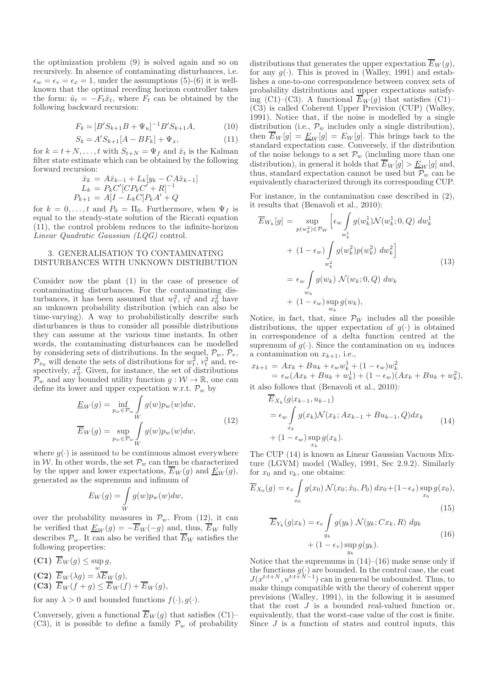the optimization problem (9) is solved again and so on recursively. In absence of contaminating disturbances, i.e.  $\epsilon_w = \epsilon_v = \epsilon_x = 1$ , under the assumptions (5)-(6) it is wellknown that the optimal receding horizon controller takes the form:  $\hat{u}_t = -F_t\hat{x}_t$ , where  $F_t$  can be obtained by the following backward recursion:

$$
F_k = [B'S_{k+1}B + \Psi_u]^{-1}B'S_{k+1}A,
$$
\n(10)

$$
S_k = A' S_{k+1} [A - BF_k] + \Psi_x, \tag{11}
$$

for  $k = t + N, \ldots, t$  with  $S_{t+N} = \Psi_f$  and  $\hat{x}_t$  is the Kalman filter state estimate which can be obtained by the following forward recursion:

$$
\hat{x}_k = A\hat{x}_{k-1} + L_k[y_k - CA\hat{x}_{k-1}]
$$
  
\n
$$
L_k = P_k C'[CP_k C' + R]^{-1}
$$
  
\n
$$
P_{k+1} = A[I - L_k C]P_k A' + Q
$$

for  $k = 0, \ldots, t$  and  $P_0 = \Pi_0$ . Furthermore, when  $\Psi_f$  is equal to the steady-state solution of the Riccati equation (11), the control problem reduces to the infinite-horizon *Linear Quadratic Gaussian (LQG)* control.

## 3. GENERALISATION TO CONTAMINATING DISTURBANCES WITH UNKNOWN DISTRIBUTION

Consider now the plant (1) in the case of presence of contaminating disturbances. For the contaminating disturbances, it has been assumed that  $w_t^2$ ,  $v_t^2$  and  $x_0^2$  have an unknown probability distribution (which can also be time-varying). A way to probabilistically describe such disturbances is thus to consider all possible distributions they can assume at the various time instants. In other words, the contaminating disturbances can be modelled by considering sets of distributions. In the sequel,  $\mathcal{P}_w, \mathcal{P}_v$ ,  $\mathcal{P}_{x_0}$  will denote the sets of distributions for  $w_t^2$ ,  $v_t^2$  and, respectively,  $x_0^2$ . Given, for instance, the set of distributions  $\mathcal{P}_w$  and any bounded utility function  $g: \mathcal{W} \to \mathbb{R}$ , one can define its lower and upper expectation w.r.t.  $\mathcal{P}_w$  by

$$
\underline{E}_W(g) = \inf_{p_w \in \mathcal{P}_w} \int_W g(w) p_w(w) dw,
$$
\n
$$
\overline{E}_W(g) = \sup_{p_w \in \mathcal{P}_w} \int_W g(w) p_w(w) dw,
$$
\n(12)

where  $g(\cdot)$  is assumed to be continuous almost everywhere in W. In other words, the set  $\mathcal{P}_w$  can then be characterized by the upper and lower expectations,  $\overline{E}_W(g)$  and  $\underline{E}_W(g)$ , generated as the supremum and infimum of

$$
E_W(g) = \int\limits_W g(w) p_w(w) dw,
$$

over the probability measures in  $\mathcal{P}_w$ . From (12), it can be verified that  $\underline{E}_W(g) = -\overline{E}_W(-g)$  and, thus,  $\overline{E}_W$  fully describes  $\mathcal{P}_w$ . It can also be verified that  $\overline{E}_W$  satisfies the following properties:

(C1) 
$$
\overline{E}_W(g) \le \sup_w g
$$
,  
\n(C2)  $\overline{E}_W(\lambda g) = \lambda \overline{E}_W(g)$ ,  
\n(C3)  $\overline{E}_W(f+g) \le \overline{E}_W(f) + \overline{E}_W(g)$ ,

for any  $\lambda > 0$  and bounded functions  $f(\cdot), g(\cdot)$ .

Conversely, given a functional  $\overline{E}_W(g)$  that satisfies (C1)– (C3), it is possible to define a family  $\mathcal{P}_{w}$  of probability distributions that generates the upper expectation  $\overline{E}_W(g)$ , for any  $g(\cdot)$ . This is proved in (Walley, 1991) and establishes a one-to-one correspondence between convex sets of probability distributions and upper expectations satisfying (C1)–(C3). A functional  $\overline{E}_W(g)$  that satisfies (C1)– (C3) is called Coherent Upper Prevision (CUP) (Walley, 1991). Notice that, if the noise is modelled by a single distribution (i.e.,  $\mathcal{P}_w$  includes only a single distribution), then  $E_W[g] = \underline{E}_W[g] = E_W[g]$ . This brings back to the standard expectation case. Conversely, if the distribution of the noise belongs to a set  $\mathcal{P}_{w}$  (including more than one distribution), in general it holds that  $\overline{E}_W[g] > \underline{E}_W[g]$  and, thus, standard expectation cannot be used but  $\mathcal{P}_{w}$  can be equivalently characterized through its corresponding CUP.

For instance, in the contamination case described in (2), it results that (Benavoli et al., 2010):

$$
\overline{E}_{W_k}[g] = \sup_{p(w_k^2) \in \mathcal{P}_W} \left[ \epsilon_w \int_{w_k^1} g(w_k^1) \mathcal{N}(w_k^1; 0, Q) \ dw_k^1 + (1 - \epsilon_w) \int_{w_k^2} g(w_k^2) p(w_k^2) \ dw_k^2 \right]
$$
\n
$$
= \epsilon_w \int_{w_k} g(w_k) \ \mathcal{N}(w_k; 0, Q) \ dw_k + (1 - \epsilon_w) \sup_{w_k} g(w_k), \tag{13}
$$

Notice, in fact, that, since  $\mathcal{P}_W$  includes all the possible distributions, the upper expectation of  $q(\cdot)$  is obtained in correspondence of a delta function centred at the supremum of  $g(\cdot)$ . Since the contamination on  $w_k$  induces a contamination on  $x_{k+1}$ , i.e.,

$$
x_{k+1} = Ax_k + Bu_k + \epsilon_w w_k^1 + (1 - \epsilon_w) w_k^2
$$
  
=  $\epsilon_w (Ax_k + Bu_k + w_k^1) + (1 - \epsilon_w) (Ax_k + Bu_k + w_k^2)$ ,  
it also follows that (Benavoli et al., 2010):

$$
E_{X_k}(g|x_{k-1}, u_{k-1})
$$
  
=  $\epsilon_w \int_{x_k} g(x_k) \mathcal{N}(x_k; Ax_{k-1} + Bu_{k-1}, Q) dx_k$   
+  $(1 - \epsilon_w) \sup_{x_k} g(x_k).$  (14)

The CUP (14) is known as Linear Gaussian Vacuous Mixture (LGVM) model (Walley, 1991, Sec 2.9.2). Similarly for  $x_0$  and  $v_k$ , one obtains:

$$
\overline{E}_{X_0}(g) = \epsilon_x \int_{x_0} g(x_0) \mathcal{N}(x_0; \hat{x}_0, P_0) dx_0 + (1 - \epsilon_x) \sup_{x_0} g(x_0),
$$
\n(15)

$$
\overline{E}_{Y_k}(g|x_k) = \epsilon_v \int_{y_k} g(y_k) \mathcal{N}(y_k; Cx_k, R) dy_k
$$
  
+ 
$$
(1 - \epsilon_v) \sup_{y_k} g(y_k).
$$
 (16)

Notice that the supremums in  $(14)$ – $(16)$  make sense only if the functions  $g(\cdot)$  are bounded. In the control case, the cost  $J(x^{t:t+N}, u^{t:t+N-1})$  can in general be unbounded. Thus, to make things compatible with the theory of coherent upper previsions (Walley, 1991), in the following it is assumed that the cost  $J$  is a bounded real-valued function or, equivalently, that the worst-case value of the cost is finite. Since  $J$  is a function of states and control inputs, this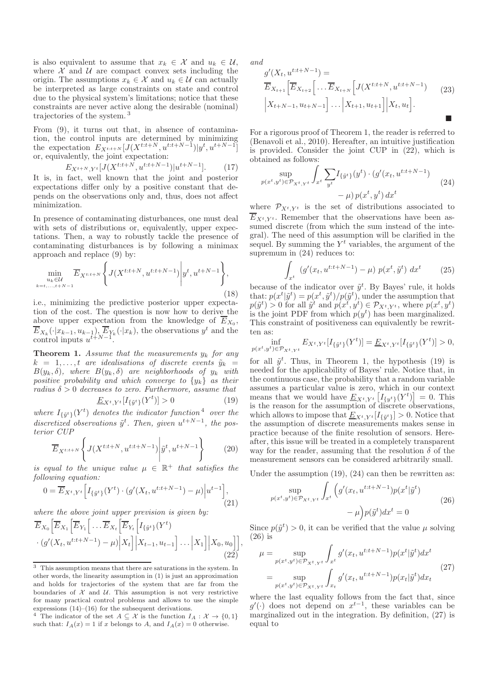is also equivalent to assume that  $x_k \in \mathcal{X}$  and  $u_k \in \mathcal{U}$ , where  $X$  and  $U$  are compact convex sets including the origin. The assumptions  $x_k \in \mathcal{X}$  and  $u_k \in \mathcal{U}$  can actually be interpreted as large constraints on state and control due to the physical system's limitations; notice that these constraints are never active along the desirable (nominal) trajectories of the system. <sup>3</sup>

From (9), it turns out that, in absence of contamination, the control inputs are determined by minimizing the expectation  $E_{X^{t:t+N}}[J(X^{t:t+N}, u^{t:t+N-1})|y^t, u^{t+N-1}]$ or, equivalently, the joint expectation:

$$
E_{X^{t+N}, Y^t}[J(X^{t:t+N}, u^{t:t+N-1})|u^{t+N-1}].
$$
 (17)

It is, in fact, well known that the joint and posterior expectations differ only by a positive constant that depends on the observations only and, thus, does not affect minimization.

In presence of contaminating disturbances, one must deal with sets of distributions or, equivalently, upper expectations. Then, a way to robustly tackle the presence of contaminating disturbances is by following a minimax approach and replace (9) by:

$$
\min_{\substack{u_k \in \mathcal{U} \\ k = t, \dots, t + N - 1}} \overline{E}_{X^{t:t+N}} \left\{ J(X^{t:t+N}, u^{t:t+N-1}) \middle| y^t, u^{t+N-1} \right\},\tag{18}
$$

i.e., minimizing the predictive posterior upper expectation of the cost. The question is now how to derive the above upper expectation from the knowledge of  $E_{X_0}$ ,  $\overline{E}_{X_k}(\cdot|x_{k-1}, u_{k-1}), \overline{E}_{Y_k}(\cdot|x_k)$ , the observations  $y^t$  and the control inputs  $u^{t+N-1}$ .

Theorem 1. *Assume that the measurements* y<sup>k</sup> *for any*  $k = 1, \ldots, t$  are idealisations of discrete events  $\tilde{y}_k =$  $B(y_k, \delta)$ *, where*  $B(y_k, \delta)$  *are neighborhoods of*  $y_k$  *with positive probability and which converge to* {yk} *as their radius*  $\delta > 0$  *decreases to zero. Furthermore, assume that* 

$$
\underline{E}_{X^t, Y^t}[I_{\{\tilde{y}^t\}}(Y^t)] > 0 \tag{19}
$$

where  $I_{\{\tilde{y}^t\}}(Y^t)$  denotes the indicator function<sup>4</sup> over the discretized observations  $\tilde{y}^t$ . Then, given  $u^{t+N-1}$ , the pos*terior CUP*

$$
\overline{E}_{X^{t:t+N}}\left\{J(X^{t:t+N},u^{t:t+N-1})\bigg|\tilde{y}^t,u^{t+N-1}\right\}\tag{20}
$$

*is equal to the unique value*  $\mu \in \mathbb{R}^+$  *that satisfies the following equation:*

$$
0 = \overline{E}_{X^t, Y^t} \Big[ I_{\{\tilde{y}^t\}}(Y^t) \cdot (g'(X_t, u^{t:t+N-1}) - \mu) \Big| u^{t-1} \Big], \tag{21}
$$

*where the above joint upper prevision is given by:*

$$
\overline{E}_{X_0} \Big[ \overline{E}_{X_1} \Big[ \overline{E}_{Y_1} \Big[ \dots \overline{E}_{X_t} \Big[ \overline{E}_{Y_t} \Big[ I_{\{\tilde{y}^t\}}(Y^t) - (g'(X_t, u^{t:t+N-1}) - \mu) \Big| X_t \Big] \Big| X_{t-1}, u_{t-1} \Big] \dots \Big| X_1 \Big] \Big| X_0, u_0 \Big] \Big],
$$
\n(22)

*and*

$$
g'(X_t, u^{t:t+N-1}) = \overline{E}_{X_{t+1}} \Big[ \overline{E}_{X_{t+2}} \Big[ \dots \overline{E}_{X_{t+N}} \Big[ J(X^{t:t+N}, u^{t:t+N-1}) \Big] \Big] \qquad (23)
$$
\n
$$
\Big| X_{t+N-1}, u_{t+N-1} \Big] \dots \Big| X_{t+1}, u_{t+1} \Big] \Big| X_t, u_t \Big].
$$

For a rigorous proof of Theorem 1, the reader is referred to (Benavoli et al., 2010). Hereafter, an intuitive justification is provided. Consider the joint CUP in (22), which is obtained as follows:

$$
\sup_{p(x^t, y^t) \in \mathcal{P}_{X^t, Y^t}} \int_{x^t} \sum_{y^t} I_{\{\tilde{y}^t\}}(y^t) \cdot (g'(x_t, u^{t:t+N-1}) - \mu) p(x^t, y^t) dx^t
$$
\n(24)

where  $\mathcal{P}_{X^t,Y^t}$  is the set of distributions associated to  $E_{X^t,Y^t}$ . Remember that the observations have been assumed discrete (from which the sum instead of the integral). The need of this assumption will be clarified in the sequel. By summing the  $Y<sup>t</sup>$  variables, the argument of the supremum in  $(24)$  reduces to:

$$
\int_{x^t} (g'(x_t, u^{t:t+N-1}) - \mu) p(x^t, \tilde{y}^t) dx^t \qquad (25)
$$

because of the indicator over  $\tilde{y}^t$ . By Bayes' rule, it holds that:  $p(x^t | \tilde{y}^t) = p(x^t, \tilde{y}^t) / p(\tilde{y}^t)$ , under the assumption that  $p(\tilde{y}^t) > 0$  for all  $\tilde{y}^t$  and  $p(x^t, y^t) \in \mathcal{P}_{X^t, Y^t}$ , where  $p(x^t, y^t)$ is the joint PDF from which  $p(y^t)$  has been marginalized. This constraint of positiveness can equivalently be rewritten as:

$$
\inf_{p(x^t, y^t) \in \mathcal{P}_{X^t, Y^t}} E_{X^t, Y^t}[I_{\{\tilde{y}^t\}}(Y^t)] = \underline{E}_{X^t, Y^t}[I_{\{\tilde{y}^t\}}(Y^t)] > 0,
$$

for all  $\tilde{y}^t$ . Thus, in Theorem 1, the hypothesis (19) is needed for the applicability of Bayes' rule. Notice that, in the continuous case, the probability that a random variable assumes a particular value is zero, which in our context means that we would have  $\underline{E}_{X^t,Y^t}\left[I_{\{y^t\}}(Y^t)\right] = 0$ . This is the reason for the assumption of discrete observations, which allows to impose that  $\underline{E}_{X^t,Y^t}[I_{\{\tilde{y}^t\}}]>0$ . Notice that the assumption of discrete measurements makes sense in practice because of the finite resolution of sensors. Hereafter, this issue will be treated in a completely transparent way for the reader, assuming that the resolution  $\delta$  of the measurement sensors can be considered arbitrarily small.

Under the assumption (19), (24) can then be rewritten as:

$$
\sup_{p(x^t, y^t) \in \mathcal{P}_{X^t, Y^t}} \int_{x^t} \left( g'(x_t, u^{t:t+N-1}) p(x^t | \tilde{y}^t) - \mu \right) p(\tilde{y}^t) dx^t = 0
$$
\n(26)

Since  $p(\tilde{y}^t) > 0$ , it can be verified that the value  $\mu$  solving (26) is

$$
\mu = \sup_{p(x^t, y^t) \in \mathcal{P}_{X^t, Y^t}} \int_{x^t} g'(x_t, u^{t:t+N-1}) p(x^t | \tilde{y}^t) dx^t
$$
  
= 
$$
\sup_{p(x^t, y^t) \in \mathcal{P}_{X^t, Y^t}} \int_{x_t} g'(x_t, u^{t:t+N-1}) p(x_t | \tilde{y}^t) dx_t
$$
 (27)

where the last equality follows from the fact that, since  $g'(\cdot)$  does not depend on  $x^{t-1}$ , these variables can be marginalized out in the integration. By definition, (27) is equal to

 $\overline{3}$  This assumption means that there are saturations in the system. In other words, the linearity assumption in (1) is just an approximation and holds for trajectories of the system that are far from the boundaries of  $\mathcal X$  and  $\mathcal U$ . This assumption is not very restrictive for many practical control problems and allows to use the simple expressions  $(14)$ – $(16)$  for the subsequent derivations.

<sup>&</sup>lt;sup>4</sup> The indicator of the set  $A \subseteq \mathcal{X}$  is the function  $I_A : \mathcal{X} \to \{0,1\}$ such that:  $I_A(x) = 1$  if x belongs to A, and  $I_A(x) = 0$  otherwise.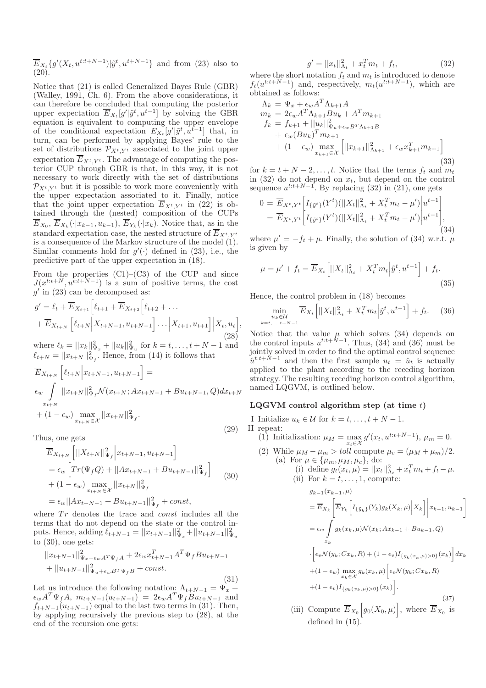$\overline{E}_{X_t}\lbrace g'(X_t, u^{t:t+N-1}) | \tilde{y}^t, u^{t+N-1} \rbrace$  and from (23) also to (20).

Notice that (21) is called Generalized Bayes Rule (GBR) (Walley, 1991, Ch. 6). From the above considerations, it can therefore be concluded that computing the posterior upper expectation  $\overline{E}_{X_t}[g'|\tilde{y}^t, u^{t-1}]$  by solving the GBR equation is equivalent to computing the upper envelope of the conditional expectation  $E_{X_t}[g'|\tilde{y}^t, u^{t-1}]$  that, in turn, can be performed by applying Bayes' rule to the set of distributions  $\mathcal{P}_{X^t,Y^t}$  associated to the joint upper expectation  $\overline{E}_{X^t,Y^t}$ . The advantage of computing the posterior CUP through GBR is that, in this way, it is not necessary to work directly with the set of distributions  $\mathcal{P}_{X^t, Y^t}$  but it is possible to work more conveniently with the upper expectation associated to it. Finally, notice that the joint upper expectation  $\overline{E}_{X^t,Y^t}$  in (22) is obtained through the (nested) composition of the CUPs  $E_{X_0}, E_{X_k}(\cdot|x_{k-1}, u_{k-1}), E_{Y_k}(\cdot|x_k)$ . Notice that, as in the standard expectation case, the nested structure of  $\overline{E}_{X^t,Y^t}$ is a consequence of the Markov structure of the model (1). Similar comments hold for  $g'(\cdot)$  defined in (23), i.e., the predictive part of the upper expectation in (18).

From the properties  $(C1)$ – $(C3)$  of the CUP and since  $J(x^{t:t+N}, u^{t:t+N-1})$  is a sum of positive terms, the cost  $g'$  in (23) can be decomposed as:

$$
g' = \ell_t + \overline{E}_{X_{t+1}} \left[ \ell_{t+1} + \overline{E}_{X_{t+2}} \left[ \ell_{t+2} + \dots \right] + \overline{E}_{X_{t+N}} \left[ \ell_{t+N} \middle| X_{t+N-1}, u_{t+N-1} \right] \dots \middle| X_{t+1}, u_{t+1} \right] \middle| X_t, u_t \right],
$$
\n
$$
= \ell_t \left[ \ell_t \left[ \frac{u_1}{u_1} + \frac{u_2}{u_2} + \dots \right] \right] \left[ \frac{u_1}{u_1} + \dots \right] \left[ \frac{u_1}{u_1} + \dots \right] \left[ \frac{u_1}{u_1} + \dots \right] \left[ \frac{u_1}{u_1} + \dots \right] \left[ \frac{u_1}{u_1} + \dots \right] \left[ \frac{u_1}{u_1} + \dots \right] \left[ \frac{u_1}{u_1} + \dots \right] \left[ \frac{u_1}{u_1} + \dots \right] \left[ \frac{u_1}{u_1} + \dots \right] \left[ \frac{u_1}{u_1} + \dots \right] \left[ \frac{u_1}{u_1} + \dots \right] \left[ \frac{u_1}{u_1} + \dots \right] \left[ \frac{u_1}{u_1} + \dots \right] \left[ \frac{u_1}{u_1} + \dots \right] \left[ \frac{u_1}{u_1} + \dots \right] \left[ \frac{u_1}{u_1} + \dots \right] \left[ \frac{u_1}{u_1} + \dots \right] \left[ \frac{u_1}{u_1} + \dots \right] \left[ \frac{u_1}{u_1} + \dots \right] \left[ \frac{u_1}{u_1} + \dots \right] \left[ \frac{u_1}{u_1} + \dots \right] \left[ \frac{u_1}{u_1} + \dots \right] \left[ \frac{u_1}{u_1} + \dots \right] \left[ \frac{u_1}{u_1} + \dots \right] \left[ \frac{u_1}{u_1} + \dots \right] \left[ \frac{u_1}{u_1} + \dots \right] \left[ \frac{u_1}{u_1} + \dots \right] \left[ \frac{u_1}{u_1} + \dots \right] \left[ \frac{u_1}{u_1}
$$

where  $\ell_k = ||x_k||_{\Psi_x}^2 + ||u_k||_{\Psi_u}^2$  for  $k = t, ..., t + N - 1$  and  $\ell_{t+N} = ||x_{t+N}||_{\Psi_f}^2$ . Hence, from (14) it follows that

$$
\overline{E}_{X_{t+N}} \left[ \ell_{t+N} \Big| x_{t+N-1}, u_{t+N-1} \right] =
$$
\n
$$
\epsilon_w \int_{x_{t+N}} ||x_{t+N}||_{\Psi_f}^2 \mathcal{N}(x_{t+N}; Ax_{t+N-1} + Bu_{t+N-1}, Q) dx_{t+N}
$$
\n
$$
+ (1 - \epsilon_w) \max_{x_{t+N} \in \mathcal{X}} ||x_{t+N}||_{\Psi_f}^2.
$$

Thus, one gets

$$
\overline{E}_{X_{t+N}} \left[ ||X_{t+N}||_{\Psi_f}^2 \Big| x_{t+N-1}, u_{t+N-1} \right] \n= \epsilon_w \left[ Tr(\Psi_f Q) + ||Ax_{t+N-1} + Bu_{t+N-1}||_{\Psi_f}^2 \right] \n+ (1 - \epsilon_w) \max_{x_{t+N} \in \mathcal{X}} ||x_{t+N}||_{\Psi_f}^2
$$
\n(30)

$$
= \epsilon_w ||Ax_{t+N-1} + Bu_{t+N-1}||_{\Psi_f}^2 + const,
$$

where  $Tr$  denotes the trace and *const* includes all the terms that do not depend on the state or the control inputs. Hence, adding  $\ell_{t+N-1} = ||x_{t+N-1}||_{\Psi_x}^2 + ||u_{t+N-1}||_{\Psi_u}^2$ to (30), one gets:

$$
||x_{t+N-1}||_{\Psi_x+\epsilon_w A^T \Psi_f A}^2 + 2\epsilon_w x_{t+N-1}^T A^T \Psi_f B u_{t+N-1}
$$
  
+ 
$$
||u_{t+N-1}||_{\Psi_u+\epsilon_w B^T \Psi_f B}^2 + const.
$$
 (31)

Let us introduce the following notation:  $\Lambda_{t+N-1} = \Psi_x +$  $\epsilon_w A^T \Psi_f A$ ,  $m_{t+N-1}(u_{t+N-1}) = 2\epsilon_w A^T \Psi_f B u_{t+N-1}$  and  $f_{t+N-1}(u_{t+N-1})$  equal to the last two terms in (31). Then, by applying recursively the previous step to (28), at the end of the recursion one gets:

$$
g' = ||x_t||_{\Lambda_t}^2 + x_t^T m_t + f_t,
$$
\n(32)

where the short notation  $f_t$  and  $m_t$  is introduced to denote  $f_t(u^{t:t+N-1})$  and, respectively,  $m_t(u^{t:t+N-1})$ , which are obtained as follows:

$$
\Lambda_k = \Psi_x + \epsilon_w A^T \Lambda_{k+1} A \nm_k = 2\epsilon_w A^T \Lambda_{k+1} B u_k + A^T m_{k+1} \nf_k = f_{k+1} + ||u_k||_{\Psi_u + \epsilon_w B^T \Lambda_{k+1} B} \n+ \epsilon_w (B u_k)^T m_{k+1} \n+ (1 - \epsilon_w) \max_{x_{k+1} \in \mathcal{X}} \left[ ||x_{k+1}||_{\Lambda_{k+1}}^2 + \epsilon_w x_{k+1}^T m_{k+1} \right]
$$
\n(33)

for  $k = t + N - 2, \ldots, t$ . Notice that the terms  $f_t$  and  $m_t$ in  $(32)$  do not depend on  $x_t$ , but depend on the control sequence  $u^{t:t+N-1}$ . By replacing (32) in (21), one gets

$$
0 = \overline{E}_{X^t, Y^t} \left[ I_{\{\tilde{y}^t\}}(Y^t)(||X_t||_{\Lambda_t}^2 + X_t^T m_t - \mu') \middle| u^{t-1} \right] = \overline{E}_{X^t, Y^t} \left[ I_{\{\tilde{y}^t\}}(Y^t)(||X_t||_{\Lambda_t}^2 + X_t^T m_t - \mu') \middle| u^{t-1} \right],
$$
(34)

where  $\mu' = -f_t + \mu$ . Finally, the solution of (34) w.r.t.  $\mu$ is given by

$$
\mu = \mu' + f_t = \overline{E}_{X_t} \left[ ||X_t||_{\Lambda_t}^2 + X_t^T m_t \Big| \tilde{y}^t, u^{t-1} \right] + f_t.
$$
\n(35)

Hence, the control problem in (18) becomes

$$
\min_{\substack{u_k \in \mathcal{U} \\ t, \dots, t+N-1}} \overline{E}_{X_t} \left[ ||X_t||_{\Lambda_t}^2 + X_t^T m_t \Big| \tilde{y}^t, u^{t-1} \right] + f_t. \tag{36}
$$

Notice that the value  $\mu$  which solves (34) depends on the control inputs  $u^{t:t+N-1}$ . Thus, (34) and (36) must be jointly solved in order to find the optimal control sequence  $\hat{u}^{t:t+N-1}$  and then the first sample  $u_t = \hat{u}_t$  is actually applied to the plant according to the receding horizon strategy. The resulting receding horizon control algorithm, named LQGVM, is outlined below.

## LQGVM control algorithm step (at time  $t$ )

I Initialize  $u_k \in \mathcal{U}$  for  $k = t, \ldots, t + N - 1$ . II repeat:

(29)

 $k=$ 

- (1) Initialization:  $\mu_M = \max_{x_t \in \mathcal{X}} g'(x_t, u^{t:t+N-1}), \mu_m = 0.$
- (2) While  $\mu_M \mu_m > \text{toll}$  compute  $\mu_c = (\mu_M + \mu_m)/2$ . (a) For  $\mu \in {\mu_m, \mu_M, \mu_c}$ , do:

(i) define 
$$
g_t(x_t, \mu) = ||x_t||_{\Lambda_t}^2 + x_t^T m_t + f_t - \mu
$$
.  
\n(ii) For  $k = t, ..., 1$ , compute:  
\n $g_{t+1}(x_{t+1}, \mu)$ 

$$
= \overline{E}_{X_k} \left[ \overline{E}_{Y_k} \left[ I_{\{\tilde{y}_k\}}(Y_k) g_k(X_k, \mu) \Big| X_k \right] \Big| x_{k-1}, u_{k-1} \right]
$$
  
\n
$$
= \epsilon_w \int g_k(x_k, \mu) \mathcal{N}(x_k; Ax_{k-1} + Bu_{k-1}, Q)
$$
  
\n
$$
x_k
$$
  
\n
$$
\cdot \left[ \epsilon_v \mathcal{N}(y_k; Cx_k, R) + (1 - \epsilon_v) I_{\{g_k(x_k, \mu) > 0\}}(x_k) \right] dx_k
$$
  
\n
$$
+ (1 - \epsilon_w) \max_{x_k \in \mathcal{X}} g_k(x_k, \mu) \left[ \epsilon_v \mathcal{N}(y_k; Cx_k, R) + (1 - \epsilon_v) I_{\{g_k(x_k, \mu) > 0\}}(x_k) \right].
$$
  
\n(37)

(iii) Compute  $\overline{E}_{X_0}[g_0(X_0,\mu)],$  where  $\overline{E}_{X_0}$  is defined in (15).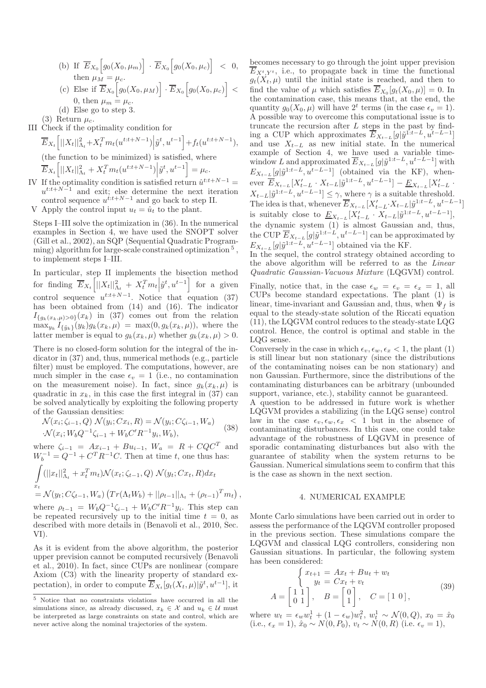- (b) If  $\overline{E}_{X_0}[g_0(X_0,\mu_m)] \cdot \overline{E}_{X_0}[g_0(X_0,\mu_c)] < 0,$ then  $\mu_M = \mu_c$ .
- (c) Else if  $\overline{E}_{X_0}[g_0(X_0,\mu_M)] \cdot \overline{E}_{X_0}[g_0(X_0,\mu_c)] <$ 0, then  $\mu_m = \mu_c$ .
- (d) Else go to step 3.

(3) Return  $\mu_c$ . III Check if the optimality condition for

$$
\overline{E}_{X_t}\left[||X_t||_{\Lambda_t}^2+X_t^T m_t(u^{t:t+N-1})\Big|\tilde{y}^t, u^{t-1}\right]+f_t(u^{t:t+N-1}),
$$

(the function to be minimized) is satisfied, where  $\overline{E}_{X_t}\left[||X_t||_{\Lambda_t}^2 + X_t^T m_t(u^{t:t+N-1})\Big|\tilde{y}^t, u^{t-1}\right] = \mu_c.$ 

- IV If the optimality condition is satisfied return  $\hat{u}^{t:t+N-1}$  $u^{t:t+N-1}$  and exit; else determine the next iteration control sequence  $u^{t:t+N-1}$  and go back to step II.
- V Apply the control input  $u_t = \hat{u}_t$  to the plant.

Steps I–III solve the optimization in (36). In the numerical examples in Section 4, we have used the SNOPT solver (Gill et al., 2002), an SQP (Sequential Quadratic Programming) algorithm for large-scale constrained optimization<sup>5</sup>, to implement steps I–III.

In particular, step II implements the bisection method for finding  $\overline{E}_{X_t}\left[||X_t||_{\Lambda_t}^2 + X_t^T m_t \Big| \tilde{y}^t, u^{t-1}\right]$  for a given control sequence  $u^{t:t+N-1}$ . Notice that equation (37) has been obtained from (14) and (16). The indicator  $I_{\{g_k(x_k,\mu)>0\}}(x_k)$  in (37) comes out from the relation  $\max_{y_k} I_{\{\tilde{y}_k\}}(y_k) g_k(x_k, \mu) = \max(0, g_k(x_k, \mu)),$  where the latter member is equal to  $g_k(x_k, \mu)$  whether  $g_k(x_k, \mu) > 0$ .

There is no closed-form solution for the integral of the indicator in (37) and, thus, numerical methods (e.g., particle filter) must be employed. The computations, however, are much simpler in the case  $\epsilon_v = 1$  (i.e., no contamination on the measurement noise). In fact, since  $q_k(x_k, \mu)$  is quadratic in  $x_k$ , in this case the first integral in (37) can be solved analytically by exploiting the following property of the Gaussian densities:

$$
\mathcal{N}(x_i; \zeta_{i-1}, Q) \mathcal{N}(y_i; Cx_i, R) = \mathcal{N}(y_i; C\zeta_{i-1}, W_a)
$$
  

$$
\mathcal{N}(x_i; W_b Q^{-1} \zeta_{i-1} + W_b C' R^{-1} y_i, W_b),
$$
 (38)

where  $\zeta_{i-1} = Ax_{i-1} + Bu_{i-1}$ ,  $W_a = R + CQC^T$  and  $W_b^{-1} = Q^{-1} + C^T R^{-1} C$ . Then at time t, one thus has:

$$
\int_{x_t} (||x_t||_{\Lambda_t}^2 + x_t^T m_t) \mathcal{N}(x_t; \zeta_{t-1}, Q) \mathcal{N}(y_t; C x_t, R) dx_t
$$
  
=  $\mathcal{N}(y_t; C \zeta_{t-1}, W_a) (Tr(\Lambda_t W_b) + ||\rho_{t-1}||_{\Lambda_t} + (\rho_{t-1})^T m_t),$ 

where  $\rho_{t-1} = W_b Q^{-1} \zeta_{i-1} + W_b C' R^{-1} y_i$ . This step can be repeated recursively up to the initial time  $t = 0$ , as described with more details in (Benavoli et al., 2010, Sec. VI).

As it is evident from the above algorithm, the posterior upper prevision cannot be computed recursively (Benavoli et al., 2010). In fact, since CUPs are nonlinear (compare Axiom (C3) with the linearity property of standard expectation), in order to compute  $\overline{E}_{X_t}[g_t(X_t,\mu)|\tilde{y}^t, u^{t-1}],$  it

becomes necessary to go through the joint upper prevision  $\overline{E}_{X^t, Y^t}$ , i.e., to propagate back in time the functional  $g_t(X_t, \mu)$  until the initial state is reached, and then to find the value of  $\mu$  which satisfies  $E_{X_0}[g_t(X_0, \mu)] = 0$ . In the contamination case, this means that, at the end, the quantity  $g_0(X_0, \mu)$  will have  $2^t$  terms (in the case  $\epsilon_v = 1$ ). A possible way to overcome this computational issue is to truncate the recursion after  $L$  steps in the past by finding a CUP which approximates  $\overline{E}_{X_{t-L}}[g|\tilde{y}^{1:t-L}, u^{t-L-1}]$ and use  $X_{t-L}$  as new initial state. In the numerical example of Section 4, we have used a variable timewindow L and approximated  $\overline{E}_{X_{t-L}}[g|\tilde{y}^{1:t-L}, u^{t-L-1}]$  with  $E_{X_{t-L}}[g|\tilde{y}^{1:t-L}, u^{t-L-1}]$  (obtained via the KF), whenever  $\overline{E}_{X_{t-L}}[X'_{t-L} \cdot X_{t-L} | \tilde{y}^{1:t-L}, u^{t-L-1}] - \underline{E}_{X_{t-L}}[X'_{t-L} \cdot X_{t-L}]$  $X_{t-L}|\tilde{y}^{1:t-L}, u^{t-L-1}] \leq \gamma$ , where  $\gamma$  is a suitable threshold. The idea is that, whenever  $\overline{E}_{X_{t-L}}[X_{t-L}^{\prime}, X_{t-L}|\tilde{y}^{1:t-L}, u^{t-L-1}]$ is suitably close to  $\underline{E}_{X_{t-L}}[X'_{t-L} \cdot X_{t-L}|\tilde{y}^{1:t-L}, u^{t-L-1}],$ the dynamic system (1) is almost Gaussian and, thus, the CUP  $\overline{E}_{X_{t-L}}[g|\tilde{y}^{1:t-L}, u^{t-L-1}]$  can be approximated by  $E_{X_{t-L}}[g|\tilde{y}^{1:t-L}, u^{t-L-1}]$  obtained via the KF.

In the sequel, the control strategy obtained according to the above algorithm will be referred to as the *Linear Quadratic Gaussian-Vacuous Mixture* (LQGVM) control.

Finally, notice that, in the case  $\epsilon_w = \epsilon_v = \epsilon_x = 1$ , all CUPs become standard expectations. The plant (1) is linear, time-invariant and Gaussian and, thus, when  $\Psi_f$  is equal to the steady-state solution of the Riccati equation (11), the LQGVM control reduces to the steady-state LQG control. Hence, the control is optimal and stable in the LQG sense.

Conversely in the case in which  $\epsilon_v, \epsilon_w, \epsilon_x < 1$ , the plant (1) is still linear but non stationary (since the distributions of the contaminating noises can be non stationary) and non Gaussian. Furthermore, since the distributions of the contaminating disturbances can be arbitrary (unbounded support, variance, etc.), stability cannot be guaranteed.

A question to be addressed in future work is whether LQGVM provides a stabilizing (in the LQG sense) control law in the case  $\epsilon_v, \epsilon_w, \epsilon_x < 1$  but in the absence of contaminating disturbances. In this case, one could take advantage of the robustness of LQGVM in presence of sporadic contaminating disturbances but also with the guarantee of stability when the system returns to be Gaussian. Numerical simulations seem to confirm that this is the case as shown in the next section.

#### 4. NUMERICAL EXAMPLE

Monte Carlo simulations have been carried out in order to assess the performance of the LQGVM controller proposed in the previous section. These simulations compare the LQGVM and classical LQG controllers, considering non Gaussian situations. In particular, the following system has been considered:

$$
\begin{cases}\n x_{t+1} = Ax_t + Bu_t + w_t \\
 y_t = Cx_t + v_t\n\end{cases}
$$
\n
$$
A = \begin{bmatrix} 1 & 1 \\ 0 & 1 \end{bmatrix}, \quad B = \begin{bmatrix} 0 \\ 1 \end{bmatrix}, \quad C = \begin{bmatrix} 1 & 0 \end{bmatrix},
$$
\n(39)

where  $w_t = \epsilon_w w_t^1 + (1 - \epsilon_w) w_t^2$ ,  $w_t^1 \sim \mathcal{N}(0, Q)$ ,  $x_0 = \hat{x}_0$ (i.e.,  $\epsilon_x = 1$ ),  $\hat{x}_0 \sim N(0, P_0)$ ,  $v_t \sim N(0, R)$  (i.e.  $\epsilon_y = 1$ ),

 $\overline{5}$  Notice that no constraints violations have occurred in all the simulations since, as already discussed,  $x_k \in \mathcal{X}$  and  $u_k \in \mathcal{U}$  must be interpreted as large constraints on state and control, which are never active along the nominal trajectories of the system.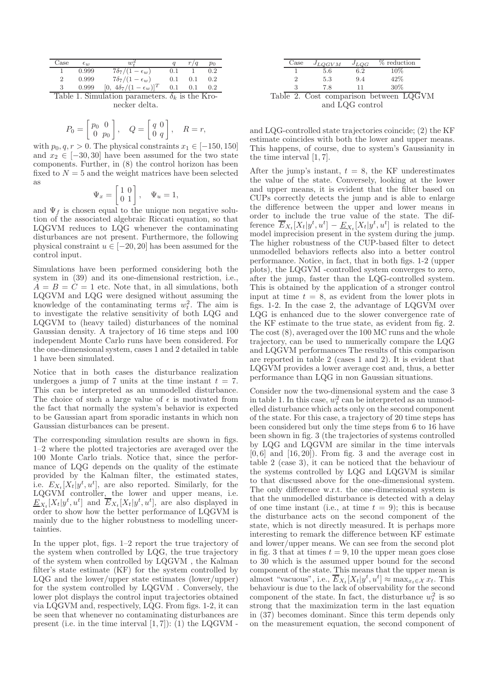| Case                                                   | $\epsilon_{ii}$ |                                   |     |     | $p_0$ |  |  |  |
|--------------------------------------------------------|-----------------|-----------------------------------|-----|-----|-------|--|--|--|
|                                                        | 0.999           | $7\delta_7/(1-\epsilon_w)$        | 0.1 |     | 0.2   |  |  |  |
|                                                        | 0.999           | $7\delta_7/(1-\epsilon_w)$        | 0.1 | 0.1 | 0.2   |  |  |  |
|                                                        | 0.999           | $[0, 4\delta_7/(1-\epsilon_w)]^T$ | 0.1 | 0.1 | 0.2   |  |  |  |
| Table 1. Simulation parameters. $\delta_k$ is the Kro- |                 |                                   |     |     |       |  |  |  |

necker delta.

$$
P_0 = \begin{bmatrix} p_0 & 0 \\ 0 & p_0 \end{bmatrix}, \quad Q = \begin{bmatrix} q & 0 \\ 0 & q \end{bmatrix}, \quad R = r,
$$

with  $p_0, q, r > 0$ . The physical constraints  $x_1 \in [-150, 150]$ and  $x_2 \in [-30, 30]$  have been assumed for the two state components. Further, in (8) the control horizon has been fixed to  $N = 5$  and the weight matrices have been selected as

$$
\Psi_x = \begin{bmatrix} 1 & 0 \\ 0 & 1 \end{bmatrix}, \quad \Psi_u = 1,
$$

and  $\Psi_f$  is chosen equal to the unique non negative solution of the associated algebraic Riccati equation, so that LQGVM reduces to LQG whenever the contaminating disturbances are not present. Furthermore, the following physical constraint  $u \in [-20, 20]$  has been assumed for the control input.

Simulations have been performed considering both the system in (39) and its one-dimensional restriction, i.e.,  $A = B = C = 1$  etc. Note that, in all simulations, both LQGVM and LQG were designed without assuming the knowledge of the contaminating terms  $w_t^2$ . The aim is to investigate the relative sensitivity of both LQG and LQGVM to (heavy tailed) disturbances of the nominal Gaussian density. A trajectory of 16 time steps and 100 independent Monte Carlo runs have been considered. For the one-dimensional system, cases 1 and 2 detailed in table 1 have been simulated.

Notice that in both cases the disturbance realization undergoes a jump of 7 units at the time instant  $t = 7$ . This can be interpreted as an unmodelled disturbance. The choice of such a large value of  $\epsilon$  is motivated from the fact that normally the system's behavior is expected to be Gaussian apart from sporadic instants in which non Gaussian disturbances can be present.

The corresponding simulation results are shown in figs. 1–2 where the plotted trajectories are averaged over the 100 Monte Carlo trials. Notice that, since the performance of LQG depends on the quality of the estimate provided by the Kalman filter, the estimated states, i.e.  $E_{X_t}[X_t|y^t, u^t]$ , are also reported. Similarly, for the LQGVM controller, the lower and upper means, i.e.  $\underline{E}_{X_t}[X_t|y^t, u^t]$  and  $\overline{E}_{X_t}[X_t|y^t, u^t]$ , are also displayed in order to show how the better performance of LQGVM is mainly due to the higher robustness to modelling uncertainties.

In the upper plot, figs. 1–2 report the true trajectory of the system when controlled by LQG, the true trajectory of the system when controlled by LQGVM , the Kalman filter's state estimate (KF) for the system controlled by LQG and the lower/upper state estimates (lower/upper) for the system controlled by LQGVM . Conversely, the lower plot displays the control input trajectories obtained via LQGVM and, respectively, LQG. From figs. 1-2, it can be seen that whenever no contaminating disturbances are present (i.e. in the time interval  $[1, 7]$ ): (1) the LQGVM -

|                 | Case | $J_{LQGVM}$ | $J_{LQG}$ | % reduction                            |  |  |  |
|-----------------|------|-------------|-----------|----------------------------------------|--|--|--|
|                 |      | 5.6         | 6.2       | $10\%$                                 |  |  |  |
|                 |      | 5.3         | 9.4       | 42\%                                   |  |  |  |
|                 | З    | 7.8         | 11        | 30%                                    |  |  |  |
|                 |      |             |           | Table 2. Cost comparison between LQGVM |  |  |  |
| and LOG control |      |             |           |                                        |  |  |  |

and LQG-controlled state trajectories coincide; (2) the KF estimate coincides with both the lower and upper means. This happens, of course, due to system's Gaussianity in the time interval [1, 7].

After the jump's instant,  $t = 8$ , the KF underestimates the value of the state. Conversely, looking at the lower and upper means, it is evident that the filter based on CUPs correctly detects the jump and is able to enlarge the difference between the upper and lower means in order to include the true value of the state. The difference  $\overline{E}_{X_t}[X_t|y^t, u^t] - \underline{E}_{X_t}[X_t|y^t, u^t]$  is related to the model imprecision present in the system during the jump. The higher robustness of the CUP-based filter to detect unmodelled behaviors reflects also into a better control performance. Notice, in fact, that in both figs. 1-2 (upper plots), the LQGVM -controlled system converges to zero, after the jump, faster than the LQG-controlled system. This is obtained by the application of a stronger control input at time  $t = 8$ , as evident from the lower plots in figs. 1-2. In the case 2, the advantage of LQGVM over LQG is enhanced due to the slower convergence rate of the KF estimate to the true state, as evident from fig. 2. The cost (8), averaged over the 100 MC runs and the whole trajectory, can be used to numerically compare the LQG and LQGVM performances The results of this comparison are reported in table 2 (cases 1 and 2). It is evident that LQGVM provides a lower average cost and, thus, a better performance than LQG in non Gaussian situations.

Consider now the two-dimensional system and the case 3 in table 1. In this case,  $w_t^2$  can be interpreted as an unmodelled disturbance which acts only on the second component of the state. For this case, a trajectory of 20 time steps has been considered but only the time steps from 6 to 16 have been shown in fig. 3 (the trajectories of systems controlled by LQG and LQGVM are similar in the time intervals  $[0, 6]$  and  $[16, 20]$ . From fig. 3 and the average cost in table 2 (case 3), it can be noticed that the behaviour of the systems controlled by LQG and LQGVM is similar to that discussed above for the one-dimensional system. The only difference w.r.t. the one-dimensional system is that the unmodelled disturbance is detected with a delay of one time instant (i.e., at time  $t = 9$ ); this is because the disturbance acts on the second component of the state, which is not directly measured. It is perhaps more interesting to remark the difference between KF estimate and lower/upper means. We can see from the second plot in fig. 3 that at times  $t = 9, 10$  the upper mean goes close to 30 which is the assumed upper bound for the second component of the state. This means that the upper mean is almost "vacuous", i.e.,  $\overline{E}_{X_t}[X_t|y^t, u^t] \approx \max_{x_t \in \mathcal{X}} x_t$ . This behaviour is due to the lack of observability for the second component of the state. In fact, the disturbance  $w_t^2$  is so strong that the maximization term in the last equation in (37) becomes dominant. Since this term depends only on the measurement equation, the second component of